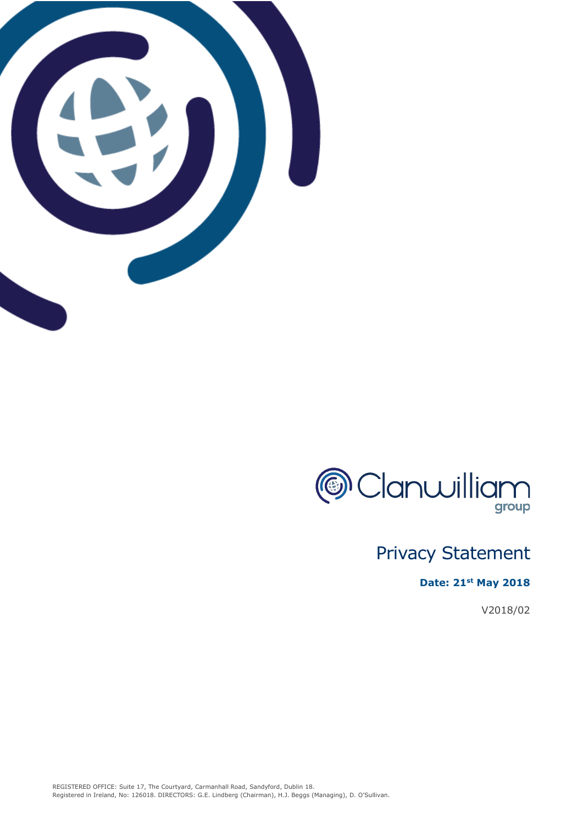



# Privacy Statement

# **Date: 21st May 2018**

V2018/02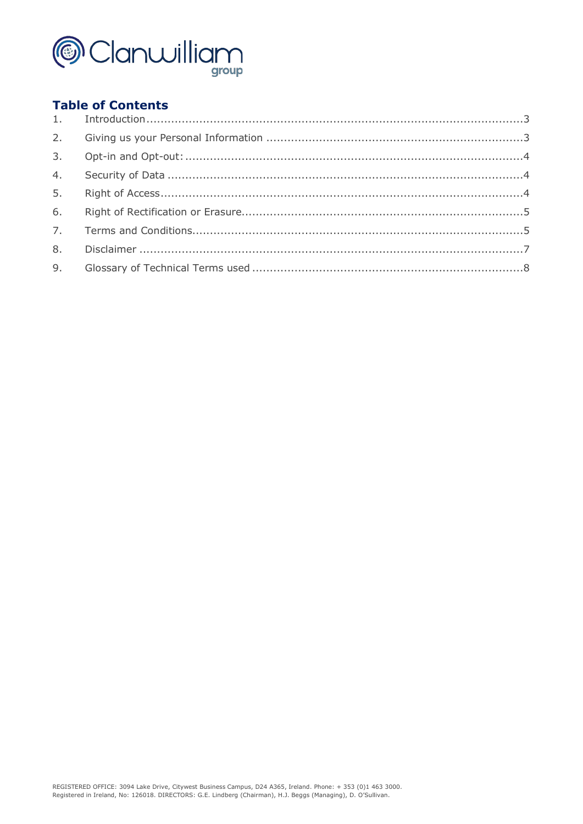

# **Table of Contents**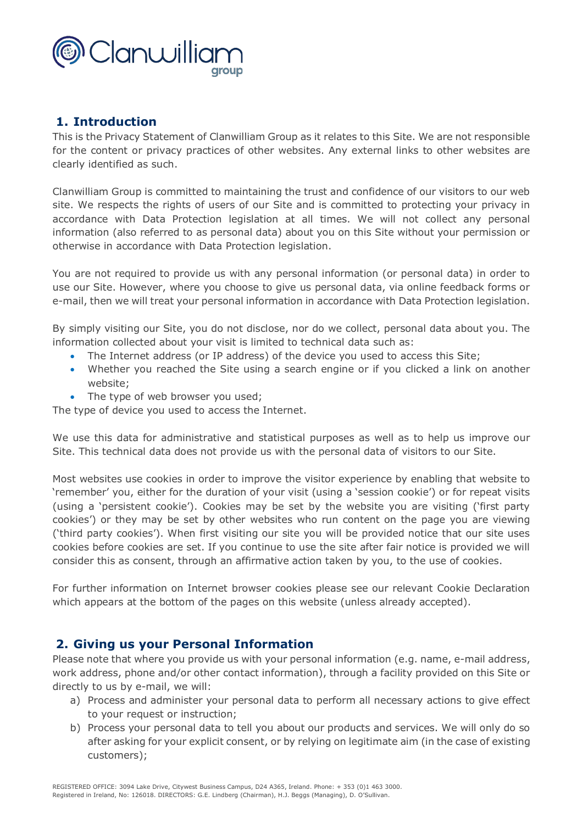

# **1. Introduction**

This is the Privacy Statement of Clanwilliam Group as it relates to this Site. We are not responsible for the content or privacy practices of other websites. Any external links to other websites are clearly identified as such.

Clanwilliam Group is committed to maintaining the trust and confidence of our visitors to our web site. We respects the rights of users of our Site and is committed to protecting your privacy in accordance with Data Protection legislation at all times. We will not collect any personal information (also referred to as personal data) about you on this Site without your permission or otherwise in accordance with Data Protection legislation.

You are not required to provide us with any personal information (or personal data) in order to use our Site. However, where you choose to give us personal data, via online feedback forms or e-mail, then we will treat your personal information in accordance with Data Protection legislation.

By simply visiting our Site, you do not disclose, nor do we collect, personal data about you. The information collected about your visit is limited to technical data such as:

- The Internet address (or IP address) of the device you used to access this Site;
- Whether you reached the Site using a search engine or if you clicked a link on another website;
- The type of web browser you used;

The type of device you used to access the Internet.

We use this data for administrative and statistical purposes as well as to help us improve our Site. This technical data does not provide us with the personal data of visitors to our Site.

Most websites use cookies in order to improve the visitor experience by enabling that website to 'remember' you, either for the duration of your visit (using a 'session cookie') or for repeat visits (using a 'persistent cookie'). Cookies may be set by the website you are visiting ('first party cookies') or they may be set by other websites who run content on the page you are viewing ('third party cookies'). When first visiting our site you will be provided notice that our site uses cookies before cookies are set. If you continue to use the site after fair notice is provided we will consider this as consent, through an affirmative action taken by you, to the use of cookies.

For further information on Internet browser cookies please see our relevant Cookie Declaration which appears at the bottom of the pages on this website (unless already accepted).

# **2. Giving us your Personal Information**

Please note that where you provide us with your personal information (e.g. name, e-mail address, work address, phone and/or other contact information), through a facility provided on this Site or directly to us by e-mail, we will:

- a) Process and administer your personal data to perform all necessary actions to give effect to your request or instruction;
- b) Process your personal data to tell you about our products and services. We will only do so after asking for your explicit consent, or by relying on legitimate aim (in the case of existing customers);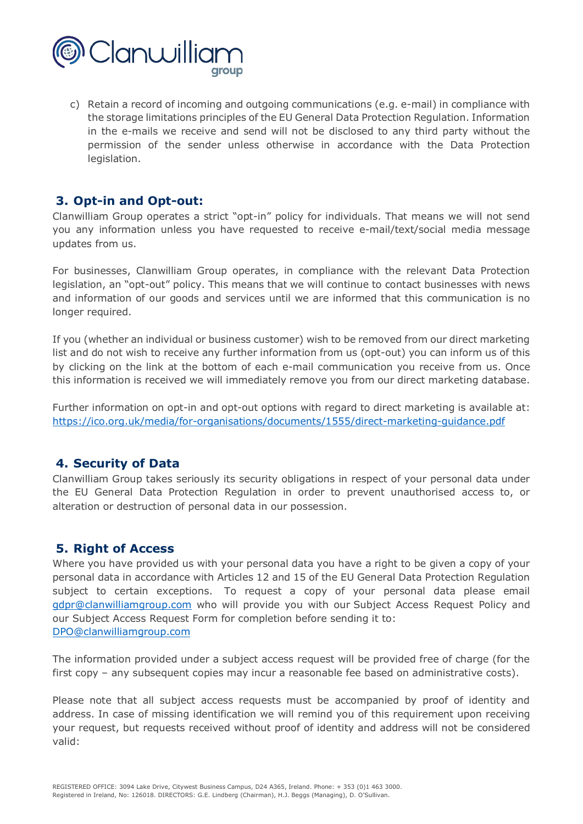

c) Retain a record of incoming and outgoing communications (e.g. e-mail) in compliance with the storage limitations principles of the EU General Data Protection Regulation. Information in the e-mails we receive and send will not be disclosed to any third party without the permission of the sender unless otherwise in accordance with the Data Protection legislation.

## **3. Opt-in and Opt-out:**

Clanwilliam Group operates a strict "opt-in" policy for individuals. That means we will not send you any information unless you have requested to receive e-mail/text/social media message updates from us.

For businesses, Clanwilliam Group operates, in compliance with the relevant Data Protection legislation, an "opt-out" policy. This means that we will continue to contact businesses with news and information of our goods and services until we are informed that this communication is no longer required.

If you (whether an individual or business customer) wish to be removed from our direct marketing list and do not wish to receive any further information from us (opt-out) you can inform us of this by clicking on the link at the bottom of each e-mail communication you receive from us. Once this information is received we will immediately remove you from our direct marketing database.

Further information on opt-in and opt-out options with regard to direct marketing is available at: https://ico.org.uk/media/for-organisations/documents/1555/direct-marketing-guidance.pdf

#### **4. Security of Data**

Clanwilliam Group takes seriously its security obligations in respect of your personal data under the EU General Data Protection Regulation in order to prevent unauthorised access to, or alteration or destruction of personal data in our possession.

## **5. Right of Access**

Where you have provided us with your personal data you have a right to be given a copy of your personal data in accordance with Articles 12 and 15 of the EU General Data Protection Regulation subject to certain exceptions. To request a copy of your personal data please email gdpr@clanwilliamgroup.com who will provide you with our Subject Access Request Policy and our Subject Access Request Form for completion before sending it to: DPO@clanwilliamgroup.com

The information provided under a subject access request will be provided free of charge (for the first copy – any subsequent copies may incur a reasonable fee based on administrative costs).

Please note that all subject access requests must be accompanied by proof of identity and address. In case of missing identification we will remind you of this requirement upon receiving your request, but requests received without proof of identity and address will not be considered valid: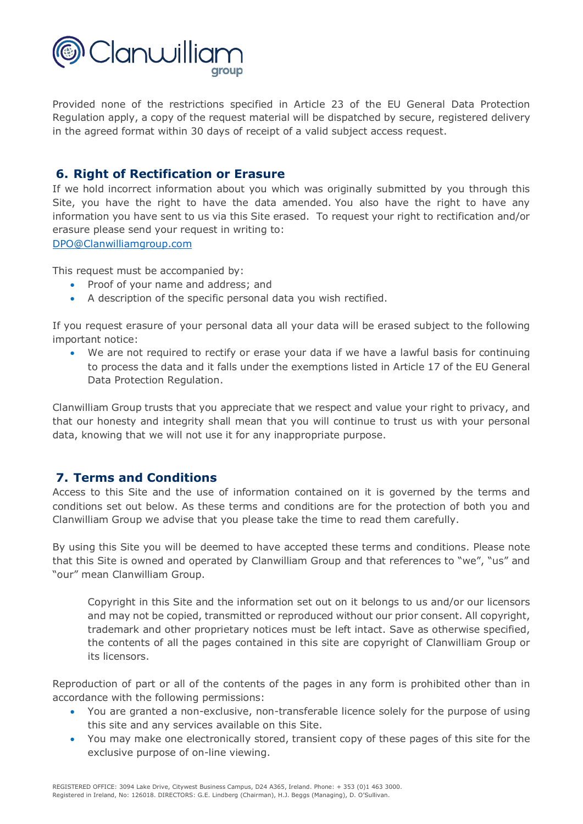

Provided none of the restrictions specified in Article 23 of the EU General Data Protection Regulation apply, a copy of the request material will be dispatched by secure, registered delivery in the agreed format within 30 days of receipt of a valid subject access request.

## **6. Right of Rectification or Erasure**

If we hold incorrect information about you which was originally submitted by you through this Site, you have the right to have the data amended. You also have the right to have any information you have sent to us via this Site erased. To request your right to rectification and/or erasure please send your request in writing to:

DPO@Clanwilliamgroup.com

This request must be accompanied by:

- Proof of your name and address; and
- A description of the specific personal data you wish rectified.

If you request erasure of your personal data all your data will be erased subject to the following important notice:

• We are not required to rectify or erase your data if we have a lawful basis for continuing to process the data and it falls under the exemptions listed in Article 17 of the EU General Data Protection Regulation.

Clanwilliam Group trusts that you appreciate that we respect and value your right to privacy, and that our honesty and integrity shall mean that you will continue to trust us with your personal data, knowing that we will not use it for any inappropriate purpose.

## **7. Terms and Conditions**

Access to this Site and the use of information contained on it is governed by the terms and conditions set out below. As these terms and conditions are for the protection of both you and Clanwilliam Group we advise that you please take the time to read them carefully.

By using this Site you will be deemed to have accepted these terms and conditions. Please note that this Site is owned and operated by Clanwilliam Group and that references to "we", "us" and "our" mean Clanwilliam Group.

Copyright in this Site and the information set out on it belongs to us and/or our licensors and may not be copied, transmitted or reproduced without our prior consent. All copyright, trademark and other proprietary notices must be left intact. Save as otherwise specified, the contents of all the pages contained in this site are copyright of Clanwilliam Group or its licensors.

Reproduction of part or all of the contents of the pages in any form is prohibited other than in accordance with the following permissions:

- You are granted a non-exclusive, non-transferable licence solely for the purpose of using this site and any services available on this Site.
- You may make one electronically stored, transient copy of these pages of this site for the exclusive purpose of on-line viewing.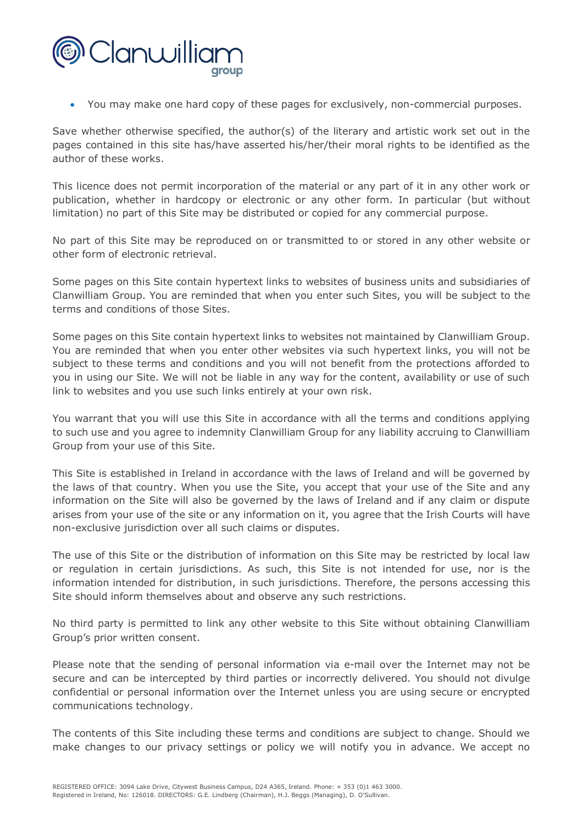

• You may make one hard copy of these pages for exclusively, non-commercial purposes.

Save whether otherwise specified, the author(s) of the literary and artistic work set out in the pages contained in this site has/have asserted his/her/their moral rights to be identified as the author of these works.

This licence does not permit incorporation of the material or any part of it in any other work or publication, whether in hardcopy or electronic or any other form. In particular (but without limitation) no part of this Site may be distributed or copied for any commercial purpose.

No part of this Site may be reproduced on or transmitted to or stored in any other website or other form of electronic retrieval.

Some pages on this Site contain hypertext links to websites of business units and subsidiaries of Clanwilliam Group. You are reminded that when you enter such Sites, you will be subject to the terms and conditions of those Sites.

Some pages on this Site contain hypertext links to websites not maintained by Clanwilliam Group. You are reminded that when you enter other websites via such hypertext links, you will not be subject to these terms and conditions and you will not benefit from the protections afforded to you in using our Site. We will not be liable in any way for the content, availability or use of such link to websites and you use such links entirely at your own risk.

You warrant that you will use this Site in accordance with all the terms and conditions applying to such use and you agree to indemnity Clanwilliam Group for any liability accruing to Clanwilliam Group from your use of this Site.

This Site is established in Ireland in accordance with the laws of Ireland and will be governed by the laws of that country. When you use the Site, you accept that your use of the Site and any information on the Site will also be governed by the laws of Ireland and if any claim or dispute arises from your use of the site or any information on it, you agree that the Irish Courts will have non-exclusive jurisdiction over all such claims or disputes.

The use of this Site or the distribution of information on this Site may be restricted by local law or regulation in certain jurisdictions. As such, this Site is not intended for use, nor is the information intended for distribution, in such jurisdictions. Therefore, the persons accessing this Site should inform themselves about and observe any such restrictions.

No third party is permitted to link any other website to this Site without obtaining Clanwilliam Group's prior written consent.

Please note that the sending of personal information via e-mail over the Internet may not be secure and can be intercepted by third parties or incorrectly delivered. You should not divulge confidential or personal information over the Internet unless you are using secure or encrypted communications technology.

The contents of this Site including these terms and conditions are subject to change. Should we make changes to our privacy settings or policy we will notify you in advance. We accept no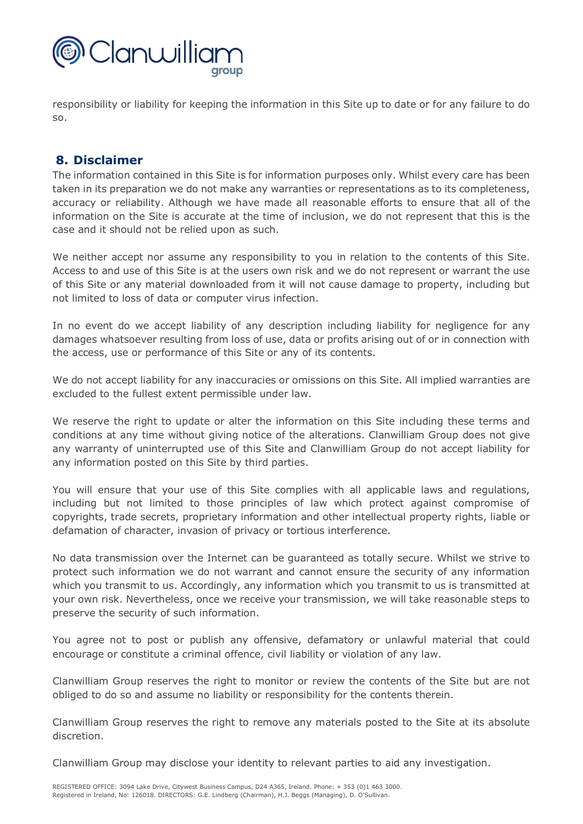

responsibility or liability for keeping the information in this Site up to date or for any failure to do so.

## **8. Disclaimer**

The information contained in this Site is for information purposes only. Whilst every care has been taken in its preparation we do not make any warranties or representations as to its completeness, accuracy or reliability. Although we have made all reasonable efforts to ensure that all of the information on the Site is accurate at the time of inclusion, we do not represent that this is the case and it should not be relied upon as such.

We neither accept nor assume any responsibility to you in relation to the contents of this Site. Access to and use of this Site is at the users own risk and we do not represent or warrant the use of this Site or any material downloaded from it will not cause damage to property, including but not limited to loss of data or computer virus infection.

In no event do we accept liability of any description including liability for negligence for any damages whatsoever resulting from loss of use, data or profits arising out of or in connection with the access, use or performance of this Site or any of its contents.

We do not accept liability for any inaccuracies or omissions on this Site. All implied warranties are excluded to the fullest extent permissible under law.

We reserve the right to update or alter the information on this Site including these terms and conditions at any time without giving notice of the alterations. Clanwilliam Group does not give any warranty of uninterrupted use of this Site and Clanwilliam Group do not accept liability for any information posted on this Site by third parties.

You will ensure that your use of this Site complies with all applicable laws and regulations, including but not limited to those principles of law which protect against compromise of copyrights, trade secrets, proprietary information and other intellectual property rights, liable or defamation of character, invasion of privacy or tortious interference.

No data transmission over the Internet can be guaranteed as totally secure. Whilst we strive to protect such information we do not warrant and cannot ensure the security of any information which you transmit to us. Accordingly, any information which you transmit to us is transmitted at your own risk. Nevertheless, once we receive your transmission, we will take reasonable steps to preserve the security of such information.

You agree not to post or publish any offensive, defamatory or unlawful material that could encourage or constitute a criminal offence, civil liability or violation of any law.

Clanwilliam Group reserves the right to monitor or review the contents of the Site but are not obliged to do so and assume no liability or responsibility for the contents therein.

Clanwilliam Group reserves the right to remove any materials posted to the Site at its absolute discretion.

Clanwilliam Group may disclose your identity to relevant parties to aid any investigation.